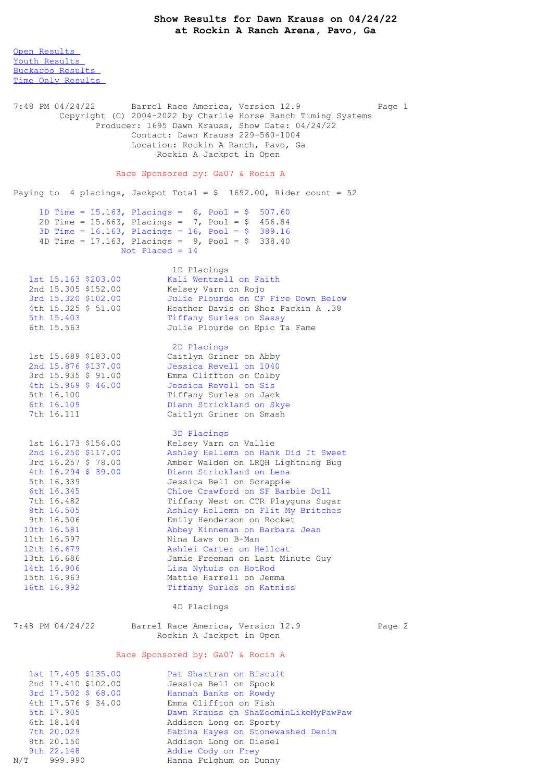Open [Results](file:///C:/Users/flori/Downloads/Show_Results_Dawn_Krauss_04_24_22.html#Open) Youth [Results](file:///C:/Users/flori/Downloads/Show_Results_Dawn_Krauss_04_24_22.html#Youth) [Buckaroo](file:///C:/Users/flori/Downloads/Show_Results_Dawn_Krauss_04_24_22.html#Buckaroo) Results Time Only [Results](file:///C:/Users/flori/Downloads/Show_Results_Dawn_Krauss_04_24_22.html#Time%20Only) 7:48 PM 04/24/22 Barrel Race America, Version 12.9 Page 1 Copyright (C) 2004-2022 by Charlie Horse Ranch Timing Systems Producer: 1695 Dawn Krauss, Show Date: 04/24/22 Contact: Dawn Krauss 229-560-1004 Location: Rockin A Ranch, Pavo, Ga Rockin A Jackpot in Open Race Sponsored by: Ga07 & Rocin A Paying to 4 placings, Jackpot Total =  $$ 1692.00$ , Rider count = 52 1D Time = 15.163, Placings = 6, Pool = \$ 507.60 2D Time = 15.663, Placings = 7, Pool = \$ 456.84 3D Time = 16.163, Placings = 16, Pool = \$ 389.16 4D Time =  $17.163$ , Placings =  $9$ , Pool =  $$338.40$ Not Placed  $= 14$ 1D Placings<br>Kali Wentzell on Faith 1st 15.163 \$203.00 Kali Wentzell on Faith 2nd 15.305 \$152.00 Kelsey Varn on Rojo 3rd 15.320 \$102.00 Julie Plourde on CF Fire Down Below 4th 15.325 \$ 51.00 Heather Davis on Shez Packin A .38 5th 15.403 Tiffany Surles on Sassy 5th 15.403 Tiffany Surles on Sassy<br>6th 15.563 Julie Plourde on Epic Ta Fame 2D Placings 1st 15.689 \$183.00 Caitlyn Griner on Abby 2nd 15.876 \$137.00 Jessica Revell on 1040 3rd 15.935 \$ 91.00 Emma Cliffton on Colby 4th 15.969 \$ 46.00 Jessica Revell on Sis 5th 16.100 Tiffany Surles on Jack 6th 16.109 Diann Strickland on Skye 7th 16.111 Caitlyn Griner on Smash 3D Placings 1st 16.173 \$156.00 Kelsey Varn on Vallie 2nd 16.250 \$117.00 Ashley Hellemn on Hank Did It Sweet 3rd 16.257 \$ 78.00 Amber Walden on LRQH Lightning Bug 4th 16.294 \$ 39.00 Diann Strickland on Lena 5th 16.339 Jessica Bell on Scrappie 6th 16.345 Chloe Crawford on SF Barbie Doll 7th 16.482 Tiffany West on CTR Playguns Sugar 8th 16.505 Ashley Hellemn on Flit My Britches 9th 16.506 Emily Henderson on Rocket 10th 16.581 Abbey Kinneman on Barbara Jean 11th 16.597 Nina Laws on B-Man 12th 16.679 Ashlei Carter on Hellcat 13th 16.686 Jamie Freeman on Last Minute Guy 14th 16.906 Lisa Nyhuis on HotRod 15th 16.963 Mattie Harrell on Jemma 16th 16.992 Tiffany Surles on Katniss 4D Placings 7:48 PM 04/24/22 Barrel Race America, Version 12.9 Page 2 Rockin A Jackpot in Open Race Sponsored by: Ga07 & Rocin A 1st 17.405 \$135.00 Pat Shartran on Biscuit 2nd 17.410 \$102.00 Jessica Bell on Spook 3rd 17.502 \$ 68.00 Hannah Banks on Rowdy 4th 17.576 \$ 34.00 Emma Cliffton on Fish 5th 17.905 Dawn Krauss on ShaZoominLikeMyPawPaw 6th 18.144 Addison Long on Sporty 7th 20.029 Sabina Hayes on Stonewashed Denim 8th 20.150 Addison Long on Diesel

9th 22.148 Addie Cody on Frey N/T 999.990 Hanna Fulghum on Dunny